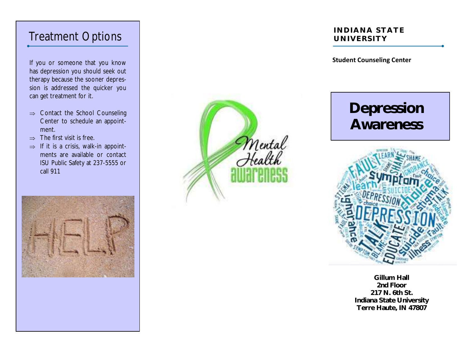If you or someone that you know has depression you should seek out therapy because the sooner depression is addressed the quicker you can get treatment for it.

- $\Rightarrow$  Contact the School Counseling Center to schedule an appointment.
- $\Rightarrow$  The first visit is free.
- $\Rightarrow$  If it is a crisis, walk-in appointments are available or contact ISU Public Safety at 237-5555 or call 911





#### Treatment Options **INDIANA STATE UNIVERSITY**

#### **Student Counseling Center**

# **Depression Awareness**



**Gillum Hall 2nd Floor 217 N. 6th St. Indiana State University Terre Haute, IN 47807**